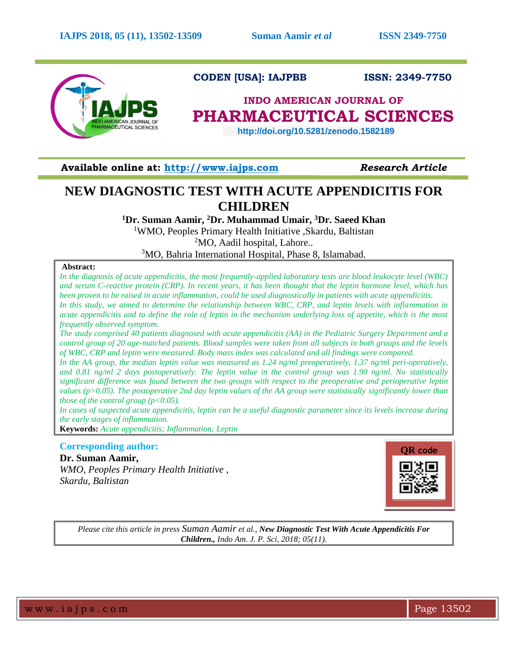

 **CODEN [USA]: IAJPBB ISSN: 2349-7750**

# **INDO AMERICAN JOURNAL OF PHARMACEUTICAL SCIENCES**

 **http://doi.org/10.5281/zenodo.1582189** 

**Available online at: [http://www.iajps.com](http://www.iajps.com/)** *Research Article*

# **NEW DIAGNOSTIC TEST WITH ACUTE APPENDICITIS FOR CHILDREN**

**<sup>1</sup>Dr. Suman Aamir, <sup>2</sup>Dr. Muhammad Umair, <sup>3</sup>Dr. Saeed Khan**

<sup>1</sup>WMO, Peoples Primary Health Initiative ,Skardu, Baltistan  $2MO$ , Aadil hospital, Lahore...

<sup>3</sup>MO, Bahria International Hospital, Phase 8, Islamabad.

### **Abstract:**

*In the diagnosis of acute appendicitis, the most frequently-applied laboratory tests are blood leukocyte level (WBC) and serum C-reactive protein (CRP). In recent years, it has been thought that the leptin hormone level, which has been proven to be raised in acute inflammation, could be used diagnostically in patients with acute appendicitis. In this study, we aimed to determine the relationship between WBC, CRP, and leptin levels with inflammation in acute appendicitis and to define the role of leptin in the mechanism underlying loss of appetite, which is the most frequently observed symptom.*

*The study comprised 40 patients diagnosed with acute appendicitis (AA) in the Pediatric Surgery Department and a control group of 20 age-matched patients. Blood samples were taken from all subjects in both groups and the levels of WBC, CRP and leptin were measured. Body mass index was calculated and all findings were compared.*

*In the AA group, the median leptin value was measured as 1.24 ng/ml preoperatively, 1.37 ng/ml peri-operatively, and 0.81 ng/ml 2 days postoperatively. The leptin value in the control group was 1.90 ng/ml. No statistically significant difference was found between the two groups with respect to the preoperative and perioperative leptin values (p>0.05). The postoperative 2nd day leptin values of the AA group were statistically significantly lower than those of the control group (p<0.05).* 

*In cases of suspected acute appendicitis, leptin can be a useful diagnostic parameter since its levels increase during the early stages of inflammation.*

**Keywords:** *Acute appendicitis; Inflammation; Leptin*

## **Corresponding author:**

**Dr. Suman Aamir,**  *WMO, Peoples Primary Health Initiative , Skardu, Baltistan*



*Please cite this article in press Suman Aamir et al., New Diagnostic Test With Acute Appendicitis For Children., Indo Am. J. P. Sci, 2018; 05(11).*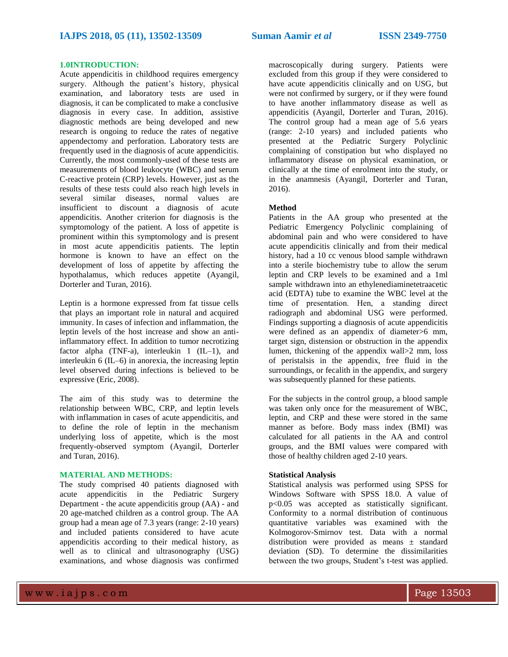#### **1.0INTRODUCTION:**

Acute appendicitis in childhood requires emergency surgery. Although the patient's history, physical examination, and laboratory tests are used in diagnosis, it can be complicated to make a conclusive diagnosis in every case. In addition, assistive diagnostic methods are being developed and new research is ongoing to reduce the rates of negative appendectomy and perforation. Laboratory tests are frequently used in the diagnosis of acute appendicitis. Currently, the most commonly-used of these tests are measurements of blood leukocyte (WBC) and serum C-reactive protein (CRP) levels. However, just as the results of these tests could also reach high levels in several similar diseases, normal values are insufficient to discount a diagnosis of acute appendicitis. Another criterion for diagnosis is the symptomology of the patient. A loss of appetite is prominent within this symptomology and is present in most acute appendicitis patients. The leptin hormone is known to have an effect on the development of loss of appetite by affecting the hypothalamus, which reduces appetite (Ayangil, Dorterler and Turan, 2016).

Leptin is a hormone expressed from fat tissue cells that plays an important role in natural and acquired immunity. In cases of infection and inflammation, the leptin levels of the host increase and show an antiinflammatory effect. In addition to tumor necrotizing factor alpha (TNF-a), interleukin  $1$  (IL-1), and interleukin 6 (IL–6) in anorexia, the increasing leptin level observed during infections is believed to be expressive (Eric, 2008).

The aim of this study was to determine the relationship between WBC, CRP, and leptin levels with inflammation in cases of acute appendicitis, and to define the role of leptin in the mechanism underlying loss of appetite, which is the most frequently-observed symptom (Ayangil, Dorterler and Turan, 2016).

#### **MATERIAL AND METHODS:**

The study comprised 40 patients diagnosed with acute appendicitis in the Pediatric Surgery Department - the acute appendicitis group (AA) - and 20 age-matched children as a control group. The AA group had a mean age of 7.3 years (range: 2-10 years) and included patients considered to have acute appendicitis according to their medical history, as well as to clinical and ultrasonography (USG) examinations, and whose diagnosis was confirmed

macroscopically during surgery. Patients were excluded from this group if they were considered to have acute appendicitis clinically and on USG, but were not confirmed by surgery, or if they were found to have another inflammatory disease as well as appendicitis (Ayangil, Dorterler and Turan, 2016). The control group had a mean age of 5.6 years (range: 2-10 years) and included patients who presented at the Pediatric Surgery Polyclinic complaining of constipation but who displayed no inflammatory disease on physical examination, or clinically at the time of enrolment into the study, or in the anamnesis (Ayangil, Dorterler and Turan, 2016).

#### **Method**

Patients in the AA group who presented at the Pediatric Emergency Polyclinic complaining of abdominal pain and who were considered to have acute appendicitis clinically and from their medical history, had a 10 cc venous blood sample withdrawn into a sterile biochemistry tube to allow the serum leptin and CRP levels to be examined and a 1ml sample withdrawn into an ethylenediaminetetraacetic acid (EDTA) tube to examine the WBC level at the time of presentation. Нen, a standing direct radiograph and abdominal USG were performed. Findings supporting a diagnosis of acute appendicitis were defined as an appendix of diameter>6 mm, target sign, distension or obstruction in the appendix lumen, thickening of the appendix wall>2 mm, loss of peristalsis in the appendix, free fluid in the surroundings, or fecalith in the appendix, and surgery was subsequently planned for these patients.

For the subjects in the control group, a blood sample was taken only once for the measurement of WBC, leptin, and CRP and these were stored in the same manner as before. Body mass index (BMI) was calculated for all patients in the AA and control groups, and the BMI values were compared with those of healthy children aged 2-10 years.

#### **Statistical Analysis**

Statistical analysis was performed using SPSS for Windows Software with SPSS 18.0. A value of p<0.05 was accepted as statistically significant. Conformity to a normal distribution of continuous quantitative variables was examined with the Kolmogorov-Smirnov test. Data with a normal distribution were provided as means ± standard deviation (SD). To determine the dissimilarities between the two groups, Student's t-test was applied.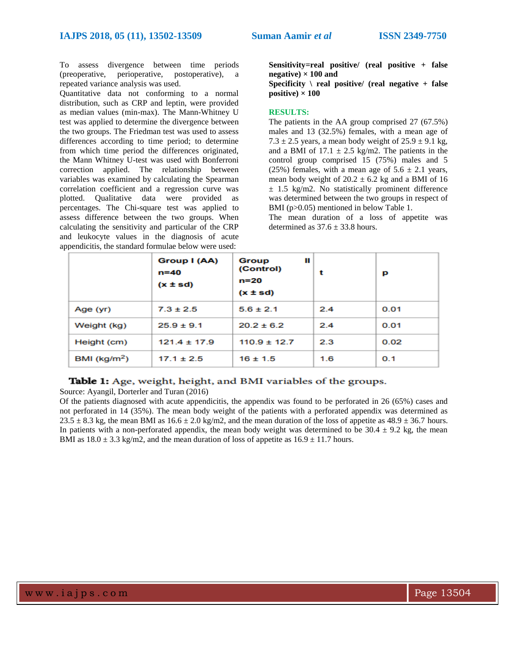To assess divergence between time periods (preoperative, perioperative, postoperative), a repeated variance analysis was used.

Quantitative data not conforming to a normal distribution, such as CRP and leptin, were provided as median values (min-max). The Mann-Whitney U test was applied to determine the divergence between the two groups. The Friedman test was used to assess differences according to time period; to determine from which time period the differences originated, the Mann Whitney U-test was used with Bonferroni correction applied. The relationship between variables was examined by calculating the Spearman correlation coefficient and a regression curve was plotted. Qualitative data were provided as percentages. The Chi-square test was applied to assess difference between the two groups. When calculating the sensitivity and particular of the CRP and leukocyte values in the diagnosis of acute appendicitis, the standard formulae below were used:

**Sensitivity=real positive/ (real positive + false negative)**  $\times$  100 and

**Specificity \ real positive/ (real negative + false**   $positive) \times 100$ 

#### **RESULTS:**

The patients in the AA group comprised 27 (67.5%) males and 13 (32.5%) females, with a mean age of 7.3  $\pm$  2.5 years, a mean body weight of 25.9  $\pm$  9.1 kg, and a BMI of  $17.1 \pm 2.5$  kg/m2. The patients in the control group comprised 15 (75%) males and 5 (25%) females, with a mean age of  $5.6 \pm 2.1$  years, mean body weight of  $20.2 \pm 6.2$  kg and a BMI of 16  $\pm$  1.5 kg/m2. No statistically prominent difference was determined between the two groups in respect of BMI (p>0.05) mentioned in below Table 1.

The mean duration of a loss of appetite was determined as  $37.6 \pm 33.8$  hours.

|                         | Group I (AA)<br>n=40<br>$(x \pm sd)$ | Ш<br>Group<br>(Control)<br>n=20<br>$(x \pm sd)$ | t   | р    |
|-------------------------|--------------------------------------|-------------------------------------------------|-----|------|
| Age (yr)                | $7.3 \pm 2.5$                        | $5.6 \pm 2.1$                                   | 2.4 | 0.01 |
| Weight (kg)             | $25.9 \pm 9.1$                       | $20.2 \pm 6.2$                                  | 2.4 | 0.01 |
| Height (cm)             | $121.4 \pm 17.9$                     | $110.9 \pm 12.7$                                | 2.3 | 0.02 |
| BMI ( $\text{kg/m}^2$ ) | $17.1 \pm 2.5$                       | $16 \pm 1.5$                                    | 1.6 | 0.1  |

## Table 1: Age, weight, height, and BMI variables of the groups.

Source: Ayangil, Dorterler and Turan (2016)

Of the patients diagnosed with acute appendicitis, the appendix was found to be perforated in 26 (65%) cases and not perforated in 14 (35%). The mean body weight of the patients with a perforated appendix was determined as  $23.5 \pm 8.3$  kg, the mean BMI as  $16.6 \pm 2.0$  kg/m2, and the mean duration of the loss of appetite as  $48.9 \pm 36.7$  hours. In patients with a non-perforated appendix, the mean body weight was determined to be  $30.4 \pm 9.2$  kg, the mean BMI as  $18.0 \pm 3.3$  kg/m2, and the mean duration of loss of appetite as  $16.9 \pm 11.7$  hours.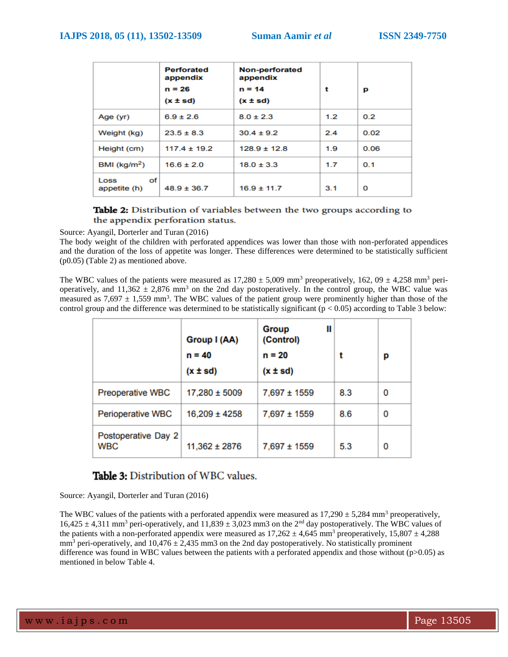|                            | <b>Perforated</b><br>appendix<br>$n = 26$<br>$(x \pm sd)$ | <b>Non-perforated</b><br>appendix<br>$n = 14$<br>$(x \pm sd)$ | t   | р    |
|----------------------------|-----------------------------------------------------------|---------------------------------------------------------------|-----|------|
| Age (yr)                   | $6.9 \pm 2.6$                                             | $8.0 \pm 2.3$                                                 | 1.2 | 0.2  |
| Weight (kg)                | $23.5 \pm 8.3$                                            | $30.4 \pm 9.2$                                                | 2.4 | 0.02 |
| Height (cm)                | $117.4 \pm 19.2$                                          | $128.9 \pm 12.8$                                              | 1.9 | 0.06 |
| BMI ( $kg/m2$ )            | $16.6 \pm 2.0$                                            | $18.0 \pm 3.3$                                                | 1.7 | 0.1  |
| Οf<br>Loss<br>appetite (h) | $48.9 \pm 36.7$                                           | $16.9 \pm 11.7$                                               | 3.1 | 0    |

## Table 2: Distribution of variables between the two groups according to the appendix perforation status.

Source: Ayangil, Dorterler and Turan (2016)

The body weight of the children with perforated appendices was lower than those with non-perforated appendices and the duration of the loss of appetite was longer. These differences were determined to be statistically sufficient (p0.05) (Table 2) as mentioned above.

The WBC values of the patients were measured as  $17,280 \pm 5,009$  mm<sup>3</sup> preoperatively,  $162,09 \pm 4,258$  mm<sup>3</sup> perioperatively, and  $11,362 \pm 2,876$  mm<sup>3</sup> on the 2nd day postoperatively. In the control group, the WBC value was measured as  $7{,}697 \pm 1{,}559$  mm<sup>3</sup>. The WBC values of the patient group were prominently higher than those of the control group and the difference was determined to be statistically significant ( $p < 0.05$ ) according to Table 3 below:

|                                   | Group I (AA)<br>$n = 40$<br>(x ± sd) | Ш<br>Group<br>(Control)<br>$n = 20$<br>(x ± sd) | t   | р |
|-----------------------------------|--------------------------------------|-------------------------------------------------|-----|---|
| <b>Preoperative WBC</b>           | $17,280 \pm 5009$                    | 7,697 ± 1559                                    | 8.3 | 0 |
| Perioperative WBC                 | $16,209 \pm 4258$                    | 7,697 ± 1559                                    | 8.6 | 0 |
| Postoperative Day 2<br><b>WBC</b> | $11,362 \pm 2876$                    | 7,697 ± 1559                                    | 5.3 | 0 |

# **Table 3:** Distribution of WBC values.

Source: Ayangil, Dorterler and Turan (2016)

The WBC values of the patients with a perforated appendix were measured as  $17,290 \pm 5,284$  mm<sup>3</sup> preoperatively,  $16,425 \pm 4,311$  mm<sup>3</sup> peri-operatively, and  $11,839 \pm 3,023$  mm3 on the 2<sup>nd</sup> day postoperatively. The WBC values of the patients with a non-perforated appendix were measured as  $17,262 \pm 4,645$  mm<sup>3</sup> preoperatively,  $15,807 \pm 4,288$  $mm<sup>3</sup>$  peri-operatively, and  $10,476 \pm 2,435$  mm3 on the 2nd day postoperatively. No statistically prominent difference was found in WBC values between the patients with a perforated appendix and those without (p>0.05) as mentioned in below Table 4.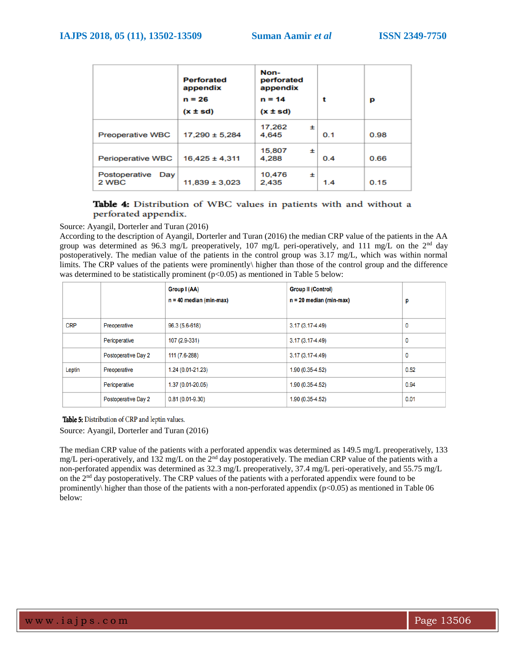|                               | <b>Perforated</b><br>appendix<br>$n = 26$<br>$(x \pm sd)$ | Non-<br>perforated<br>appendix<br>$n = 14$<br>$(x \pm sd)$ | t   | р    |
|-------------------------------|-----------------------------------------------------------|------------------------------------------------------------|-----|------|
| <b>Preoperative WBC</b>       | $17.290 \pm 5.284$                                        | 17,262<br>士<br>4.645                                       | 0.1 | 0.98 |
| <b>Perioperative WBC</b>      | $16.425 \pm 4.311$                                        | 15,807<br>±<br>4.288                                       | 0.4 | 0.66 |
| Postoperative<br>Day<br>2 WBC | $11,839 \pm 3,023$                                        | 10,476<br>$\pm$<br>2,435                                   | 1.4 | 0.15 |

### Table 4: Distribution of WBC values in patients with and without a perforated appendix.

Source: Ayangil, Dorterler and Turan (2016)

According to the description of Ayangil, Dorterler and Turan (2016) the median CRP value of the patients in the AA group was determined as 96.3 mg/L preoperatively, 107 mg/L peri-operatively, and 111 mg/L on the  $2<sup>nd</sup>$  day postoperatively. The median value of the patients in the control group was 3.17 mg/L, which was within normal limits. The CRP values of the patients were prominently\ higher than those of the control group and the difference was determined to be statistically prominent  $(p<0.05)$  as mentioned in Table 5 below:

|            |                     | Group I (AA)              | <b>Group II (Control)</b> |      |
|------------|---------------------|---------------------------|---------------------------|------|
|            |                     | $n = 40$ median (min-max) | $n = 20$ median (min-max) | р    |
|            |                     |                           |                           |      |
| <b>CRP</b> | Preoperative        | 96.3 (5.6-618)            | $3.17(3.17 - 4.49)$       | 0    |
|            | Perioperative       | 107 (2.9-331)             | $3.17(3.17 - 4.49)$       | 0    |
|            | Postoperative Day 2 | 111 (7.6-288)             | $3.17(3.17 - 4.49)$       | 0    |
| Leptin     | Preoperative        | 1.24 (0.01-21.23)         | $1.90(0.35-4.52)$         | 0.52 |
|            | Perioperative       | 1.37 (0.01-20.05)         | $1.90(0.35-4.52)$         | 0.94 |
|            | Postoperative Day 2 | $0.81(0.01-9.30)$         | $1.90(0.35-4.52)$         | 0.01 |

Table 5: Distribution of CRP and leptin values.

Source: Ayangil, Dorterler and Turan (2016)

The median CRP value of the patients with a perforated appendix was determined as 149.5 mg/L preoperatively, 133 mg/L peri-operatively, and 132 mg/L on the 2nd day postoperatively. The median CRP value of the patients with a non-perforated appendix was determined as 32.3 mg/L preoperatively, 37.4 mg/L peri-operatively, and 55.75 mg/L on the 2nd day postoperatively. The CRP values of the patients with a perforated appendix were found to be prominently\ higher than those of the patients with a non-perforated appendix ( $p<0.05$ ) as mentioned in Table 06 below: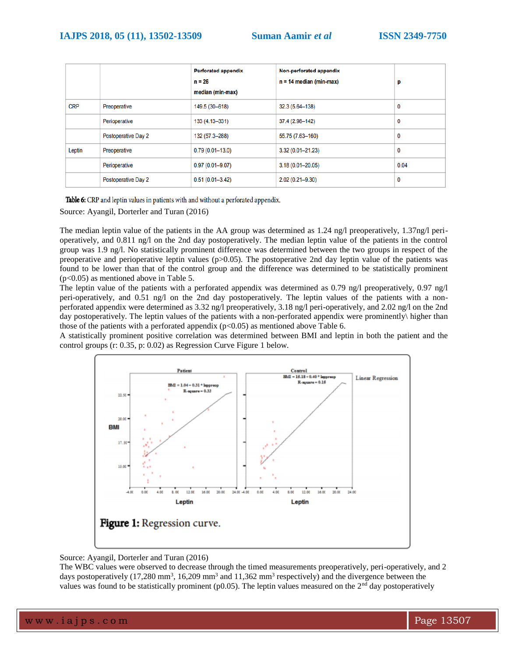|            |                     | <b>Perforated appendix</b> | Non-perforated appendix   |      |
|------------|---------------------|----------------------------|---------------------------|------|
|            |                     | $n = 26$                   | $n = 14$ median (min-max) | р    |
|            |                     | median (min-max)           |                           |      |
| <b>CRP</b> | Preoperative        | 149.5 (30-618)             | 32.3 (5.64-138)           | 0    |
|            | Perioperative       | 133 (4.13-331)             | 37.4 (2.98-142)           | 0    |
|            | Postoperative Day 2 | 132 (57.3-288)             | 55.75 (7.63-160)          | 0    |
| Leptin     | Preoperative        | $0.79(0.01 - 13.0)$        | $3.32(0.01 - 21.23)$      | 0    |
|            | Perioperative       | $0.97(0.01 - 9.07)$        | 3.18 (0.01-20.05)         | 0.04 |
|            | Postoperative Day 2 | $0.51(0.01 - 3.42)$        | $2.02(0.21 - 9.30)$       | 0    |

Table 6: CRP and leptin values in patients with and without a perforated appendix.

Source: Ayangil, Dorterler and Turan (2016)

The median leptin value of the patients in the AA group was determined as 1.24 ng/l preoperatively, 1.37ng/l perioperatively, and 0.811 ng/l on the 2nd day postoperatively. The median leptin value of the patients in the control group was 1.9 ng/l. No statistically prominent difference was determined between the two groups in respect of the preoperative and perioperative leptin values (p>0.05). The postoperative 2nd day leptin value of the patients was found to be lower than that of the control group and the difference was determined to be statistically prominent (p<0.05) as mentioned above in Table 5.

The leptin value of the patients with a perforated appendix was determined as 0.79 ng/l preoperatively, 0.97 ng/l peri-operatively, and 0.51 ng/l on the 2nd day postoperatively. The leptin values of the patients with a nonperforated appendix were determined as 3.32 ng/l preoperatively, 3.18 ng/l peri-operatively, and 2.02 ng/l on the 2nd day postoperatively. The leptin values of the patients with a non-perforated appendix were prominently\ higher than those of the patients with a perforated appendix  $(p<0.05)$  as mentioned above Table 6.

A statistically prominent positive correlation was determined between BMI and leptin in both the patient and the control groups (r: 0.35, p: 0.02) as Regression Curve Figure 1 below.



Source: Ayangil, Dorterler and Turan (2016)

The WBC values were observed to decrease through the timed measurements preoperatively, peri-operatively, and 2 days postoperatively  $(17,280 \text{ mm}^3, 16,209 \text{ mm}^3 \text{ and } 11,362 \text{ mm}^3 \text{ respectively})$  and the divergence between the values was found to be statistically prominent ( $p0.05$ ). The leptin values measured on the  $2<sup>nd</sup>$  day postoperatively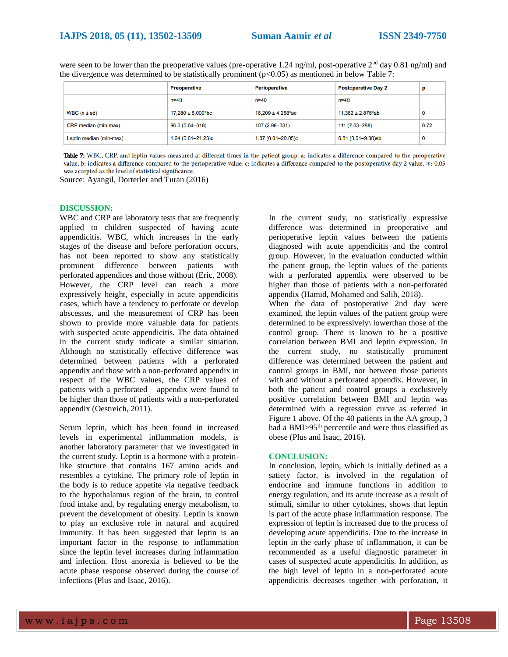were seen to be lower than the preoperative values (pre-operative 1.24 ng/ml, post-operative  $2<sup>nd</sup>$  day 0.81 ng/ml) and the divergence was determined to be statistically prominent ( $p<0.05$ ) as mentioned in below Table 7:

|                         | <b>Preoperative</b>    | <b>Perioperative</b>   | <b>Postoperative Day 2</b> | r    |
|-------------------------|------------------------|------------------------|----------------------------|------|
|                         | n=40                   | $n = 40$               | $n = 40$                   |      |
| WBC $(x \pm sd)$        | $17,280 \pm 5,000$ *bc | $16,209 \pm 4,258$ *ac | $11,362 \pm 2,876$ ab      | 0    |
| CRP median (min-max)    | 96.3 (5.64–618)        | 107 (2.98-331)         | 111 (7.63-288)             | 0.72 |
| Leptin median (min-max) | 1.24 (0.01-21.23)c     | 1.37 (0.01-20.05)c     | $0.81(0.01 - 9.30)$ ab     | 0    |

Table 7: WBC, CRP, and leptin values measured at different times in the patient group. a: indicates a difference compared to the preoperative value, b: indicates a difference compared to the perioperative value, c: indicates a difference compared to the postoperative day 2 value, \*: 0.05 was accepted as the level of statistical significance.

Source: Ayangil, Dorterler and Turan (2016)

#### **DISCUSSION:**

WBC and CRP are laboratory tests that are frequently applied to children suspected of having acute appendicitis. WBC, which increases in the early stages of the disease and before perforation occurs, has not been reported to show any statistically prominent difference between patients with perforated appendices and those without (Eric, 2008). However, the CRP level can reach a more expressively height, especially in acute appendicitis cases, which have a tendency to perforate or develop abscesses, and the measurement of CRP has been shown to provide more valuable data for patients with suspected acute appendicitis. The data obtained in the current study indicate a similar situation. Although no statistically effective difference was determined between patients with a perforated appendix and those with a non-perforated appendix in respect of the WBC values, the CRP values of patients with a perforated appendix were found to be higher than those of patients with a non-perforated appendix (Oestreich, 2011).

Serum leptin, which has been found in increased levels in experimental inflammation models, is another laboratory parameter that we investigated in the current study. Leptin is a hormone with a proteinlike structure that contains 167 amino acids and resembles a cytokine. The primary role of leptin in the body is to reduce appetite via negative feedback to the hypothalamus region of the brain, to control food intake and, by regulating energy metabolism, to prevent the development of obesity. Leptin is known to play an exclusive role in natural and acquired immunity. It has been suggested that leptin is an important factor in the response to inflammation since the leptin level increases during inflammation and infection. Host anorexia is believed to be the acute phase response observed during the course of infections (Plus and Isaac, 2016).

In the current study, no statistically expressive difference was determined in preoperative and perioperative leptin values between the patients diagnosed with acute appendicitis and the control group. However, in the evaluation conducted within the patient group, the leptin values of the patients with a perforated appendix were observed to be higher than those of patients with a non-perforated appendix (Hamid, Mohamed and Salih, 2018).

When the data of postoperative 2nd day were examined, the leptin values of the patient group were determined to be expressively\ lowerthan those of the control group. There is known to be a positive correlation between BMI and leptin expression. In the current study, no statistically prominent difference was determined between the patient and control groups in BMI, nor between those patients with and without a perforated appendix. However, in both the patient and control groups a exclusively positive correlation between BMI and leptin was determined with a regression curve as referred in Figure 1 above. Of the 40 patients in the AA group, 3 had a BMI>95<sup>th</sup> percentile and were thus classified as obese (Plus and Isaac, 2016).

#### **CONCLUSION:**

In conclusion, leptin, which is initially defined as a satiety factor, is involved in the regulation of endocrine and immune functions in addition to energy regulation, and its acute increase as a result of stimuli, similar to other cytokines, shows that leptin is part of the acute phase inflammation response. The expression of leptin is increased due to the process of developing acute appendicitis. Due to the increase in leptin in the early phase of inflammation, it can be recommended as a useful diagnostic parameter in cases of suspected acute appendicitis. In addition, as the high level of leptin in a non-perforated acute appendicitis decreases together with perforation, it